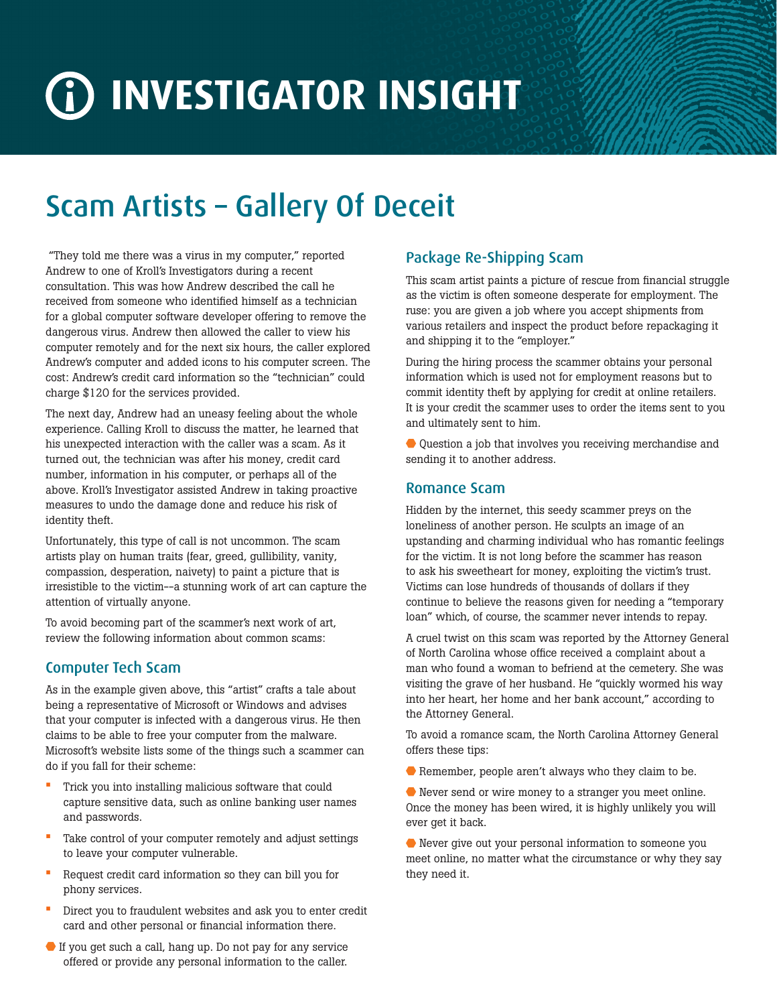# **INVESTIGATOR INSIGHT**

## Scam Artists – Gallery Of Deceit

 "They told me there was a virus in my computer," reported Andrew to one of Kroll's Investigators during a recent consultation. This was how Andrew described the call he received from someone who identified himself as a technician for a global computer software developer offering to remove the dangerous virus. Andrew then allowed the caller to view his computer remotely and for the next six hours, the caller explored Andrew's computer and added icons to his computer screen. The cost: Andrew's credit card information so the "technician" could charge \$120 for the services provided.

The next day, Andrew had an uneasy feeling about the whole experience. Calling Kroll to discuss the matter, he learned that his unexpected interaction with the caller was a scam. As it turned out, the technician was after his money, credit card number, information in his computer, or perhaps all of the above. Kroll's Investigator assisted Andrew in taking proactive measures to undo the damage done and reduce his risk of identity theft.

Unfortunately, this type of call is not uncommon. The scam artists play on human traits (fear, greed, gullibility, vanity, compassion, desperation, naivety) to paint a picture that is irresistible to the victim--a stunning work of art can capture the attention of virtually anyone.

To avoid becoming part of the scammer's next work of art, review the following information about common scams:

#### Computer Tech Scam

As in the example given above, this "artist" crafts a tale about being a representative of Microsoft or Windows and advises that your computer is infected with a dangerous virus. He then claims to be able to free your computer from the malware. Microsoft's website lists some of the things such a scammer can do if you fall for their scheme:

- Trick you into installing malicious software that could capture sensitive data, such as online banking user names and passwords.
- Take control of your computer remotely and adjust settings to leave your computer vulnerable.
- Request credit card information so they can bill you for phony services.
- Direct you to fraudulent websites and ask you to enter credit card and other personal or financial information there.
- If you get such a call, hang up. Do not pay for any service offered or provide any personal information to the caller.

### Package Re-Shipping Scam

This scam artist paints a picture of rescue from financial struggle as the victim is often someone desperate for employment. The ruse: you are given a job where you accept shipments from various retailers and inspect the product before repackaging it and shipping it to the "employer."

During the hiring process the scammer obtains your personal information which is used not for employment reasons but to commit identity theft by applying for credit at online retailers. It is your credit the scammer uses to order the items sent to you and ultimately sent to him.

Question a job that involves you receiving merchandise and sending it to another address.

#### Romance Scam

Hidden by the internet, this seedy scammer preys on the loneliness of another person. He sculpts an image of an upstanding and charming individual who has romantic feelings for the victim. It is not long before the scammer has reason to ask his sweetheart for money, exploiting the victim's trust. Victims can lose hundreds of thousands of dollars if they continue to believe the reasons given for needing a "temporary loan" which, of course, the scammer never intends to repay.

A cruel twist on this scam was reported by the Attorney General of North Carolina whose office received a complaint about a man who found a woman to befriend at the cemetery. She was visiting the grave of her husband. He "quickly wormed his way into her heart, her home and her bank account," according to the Attorney General.

To avoid a romance scam, the North Carolina Attorney General offers these tips:

Remember, people aren't always who they claim to be.

 Never send or wire money to a stranger you meet online. Once the money has been wired, it is highly unlikely you will ever get it back.

 Never give out your personal information to someone you meet online, no matter what the circumstance or why they say they need it.